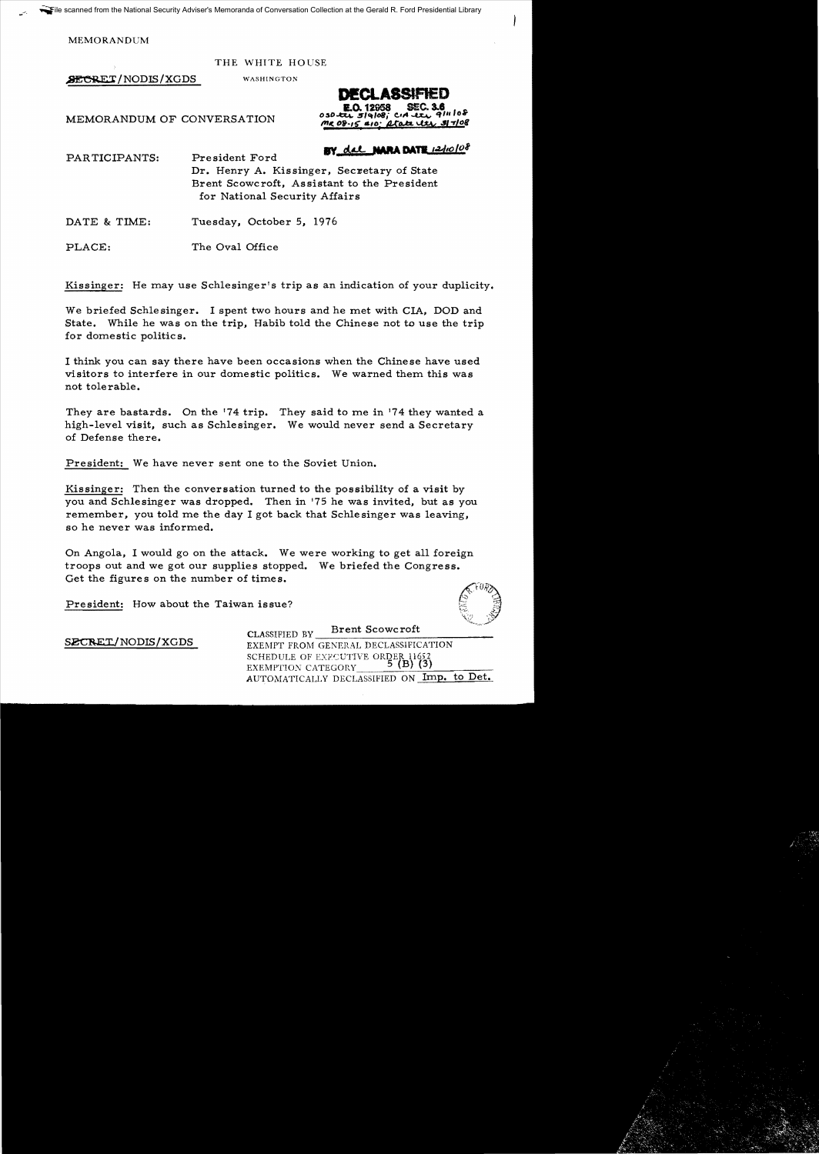MEMORANDUM

THE WHITE HOUSE

**SECRET/NODIS/XGDS** WASHINGTON

 $0.50 - T$  $\overline{c}$ MR 08-16  $\mathbf{A}$ fa $\mathbf{A}$ 

MEMORANDUM OF CONVERSATION

BY del NARA DATE 12/10/08

PARTICIPANTS: Pre sident Ford Dr. Henry A. Kissinger, Secretary of State Brent Scowcroft, Assistant to the President for National Security Affairs

DATE & TIME: Tuesday, October 5, 1976

PLACE: The Oval Office

Kissinger: He may use Schlesinger's trip as an indication of your duplicity.

We briefed Schlesinger. I spent two hours and he met with CIA, DOD and State. While he was on the trip, Habib told the Chinese not to use the trip for domestic politics.

I think you can say there have been occasions when the Chinese have used visitors to interfere in our domestic politics. We warned them this was not tolerable.

They are bastards. On the '74 trip. They said to me in 174 they wanted a high-level visit, such as Schlesinger. We would never send a Secretary of Defense there.

President: We have never sent one to the Soviet Union.

Kissinger: Then the conversation turned to the possibility of a visit by you and Schlesinger was dropped. Then in 175 he was invited, but as you remember, you told me the day I got back that Schlesinger was leaving, so he never was informed.

On Angola, I would go on the attack. We were working to get all foreign troops out and we got our supplies stopped. We briefed the Congress. Get the figures on the number of times.

President: How about the Taiwan issue?



CLASSIFIED BY Brent Scowcroft SECRET/NODIS/XGDS EXEMPT FROM GENERAL DECLASSIFICATION SCHEDULE OF EXECUTIVE ORDER 11652<br>EXEMPTION CATEGORY 5 (B) (3) AUTOMATICALLY DECLASSIFIED ON Imp. to Det.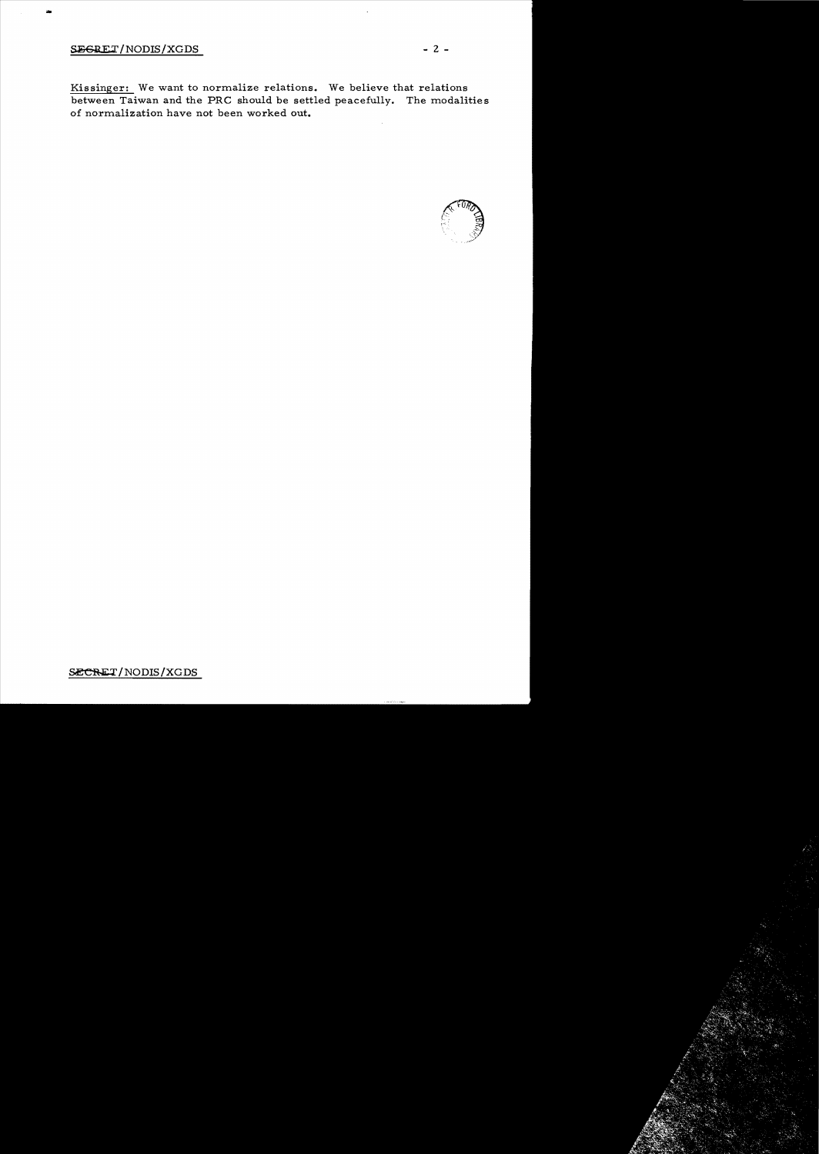## SEGRET/NODIS/XGDS - 2 -

...

Kissinger: We want to normalize relations. We believe that relations between Taiwan and the PRC should be settled peacefully. The modalities of normalization have not been worked out.



SECRET/NODIS/XGDS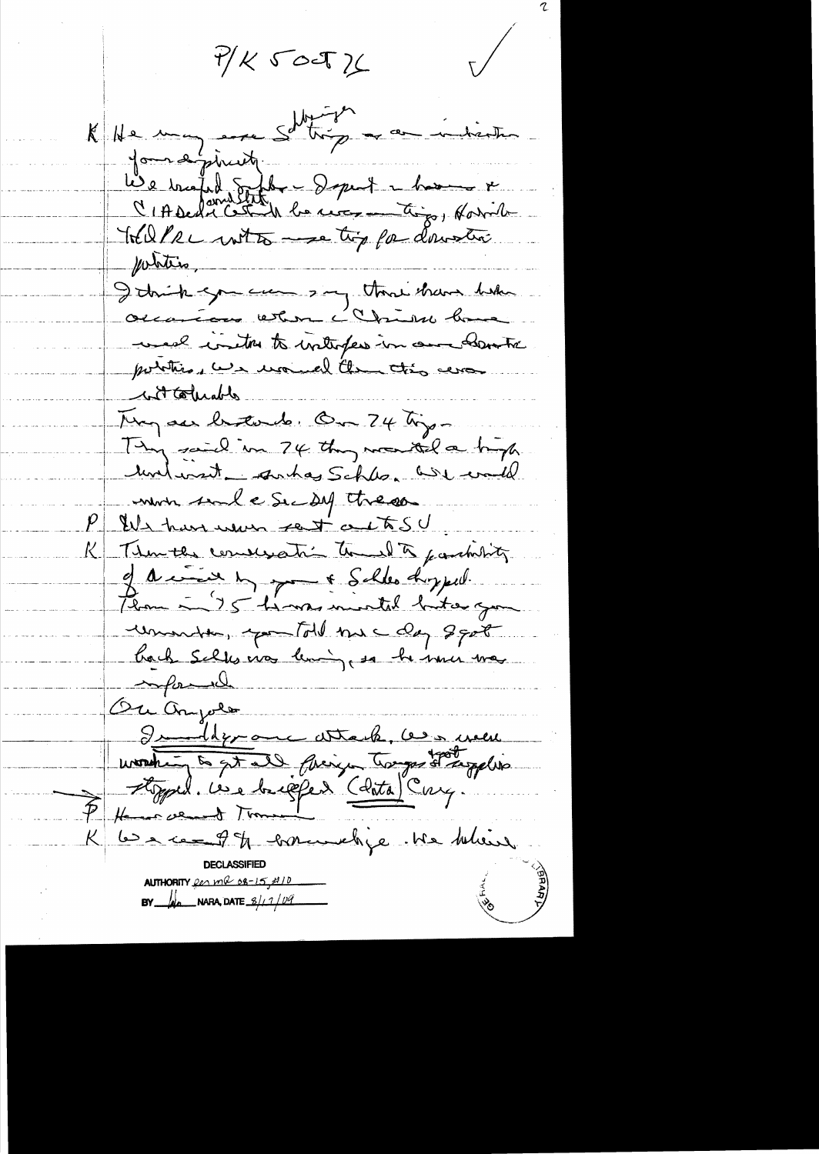$P/K$   $S$  oct  $K$ 

 $\mathcal{L}$ 

 $\bigvee$ 

K He may eve Sotting and indicate formalineity We trafed Sitter - Separt - home & Welle with me tip for downtie potetis, I trick you can say that have held occanion when I Chion have well instructs interfers in our country portion we use all the this was with collectes They are betonde. On 24 type They said in 74 they wanted a byly untwent antas Schles. We would mon sul e Sec Del treso P EU harrenon rest autre Then the concessation to be farchity of a in the schlee doughed. Plan - 75 hours inicitel bitourgen unante, you told me day 8 got hack sells nos lening, so he mu mas informal Ou ample Suideron attache, ces men P Henry went Time K les access 9 % correctives . Me believe AUTHORITY for  $mQ_0s-15f$  / 0 BY  $\mu$  NARA, DATE  $\frac{3}{10}$